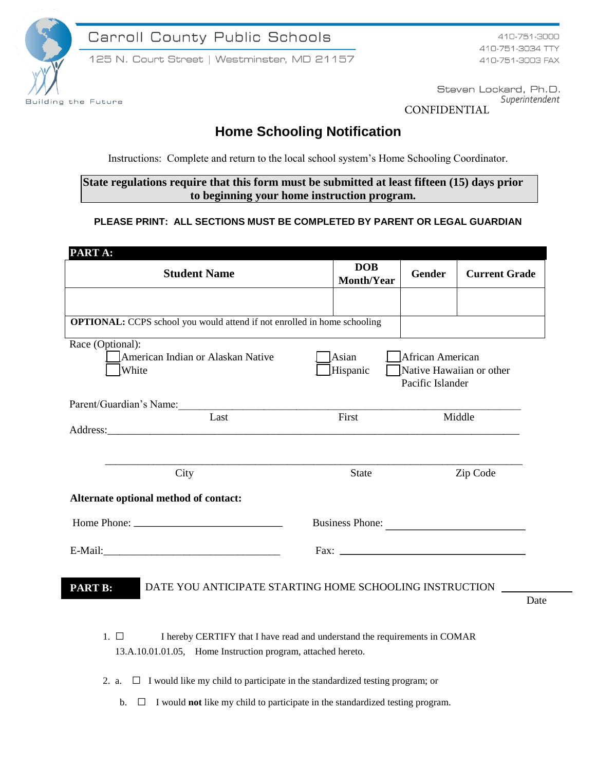

Carroll County Public Schools

125 N. Court Street | Westminster, MD 21157

410-751-3000 410-751-3034 TTY 410-751-3003 FAX

Steven Lockard, Ph.D. Superintendent CONFIDENTIAL

## **Home Schooling Notification**

Instructions: Complete and return to the local school system's Home Schooling Coordinator.

**State regulations require that this form must be submitted at least fifteen (15) days prior to beginning your home instruction program.** 

## **PLEASE PRINT: ALL SECTIONS MUST BE COMPLETED BY PARENT OR LEGAL GUARDIAN**

| PART A:                                                                                                                                                                                                                             |                                 |                 |                      |  |  |
|-------------------------------------------------------------------------------------------------------------------------------------------------------------------------------------------------------------------------------------|---------------------------------|-----------------|----------------------|--|--|
| <b>Student Name</b>                                                                                                                                                                                                                 | <b>DOB</b><br><b>Month/Year</b> | <b>Gender</b>   | <b>Current Grade</b> |  |  |
|                                                                                                                                                                                                                                     |                                 |                 |                      |  |  |
| <b>OPTIONAL:</b> CCPS school you would attend if not enrolled in home schooling                                                                                                                                                     |                                 |                 |                      |  |  |
| Race (Optional):<br>Asian<br>American Indian or Alaskan Native<br>African American<br>White<br>Hispanic<br>Native Hawaiian or other<br>Pacific Islander                                                                             |                                 |                 |                      |  |  |
| Parent/Guardian's Name:<br>Last                                                                                                                                                                                                     |                                 | First<br>Middle |                      |  |  |
| Address: <u>Address:</u> Address: Address: Address: Address: Address: Address: Address: Address: Address: Address: Address: Address: Address: Address: Address: Address: Address: Address: Address: Address: Address: Address: Addr |                                 |                 |                      |  |  |
| City                                                                                                                                                                                                                                | <b>State</b>                    | Zip Code        |                      |  |  |
| Alternate optional method of contact:                                                                                                                                                                                               |                                 |                 |                      |  |  |
|                                                                                                                                                                                                                                     |                                 | Business Phone: |                      |  |  |
|                                                                                                                                                                                                                                     | Fax: $\overline{\phantom{a}}$   |                 |                      |  |  |
| DATE YOU ANTICIPATE STARTING HOME SCHOOLING INSTRUCTION<br><b>PART B:</b>                                                                                                                                                           |                                 |                 | Date                 |  |  |
| $1. \ \Box$<br>I hereby CERTIFY that I have read and understand the requirements in COMAR                                                                                                                                           |                                 |                 |                      |  |  |
| 13.A.10.01.01.05, Home Instruction program, attached hereto.                                                                                                                                                                        |                                 |                 |                      |  |  |

- 2. a.  $\Box$  I would like my child to participate in the standardized testing program; or
	- b. □ I would **not** like my child to participate in the standardized testing program.